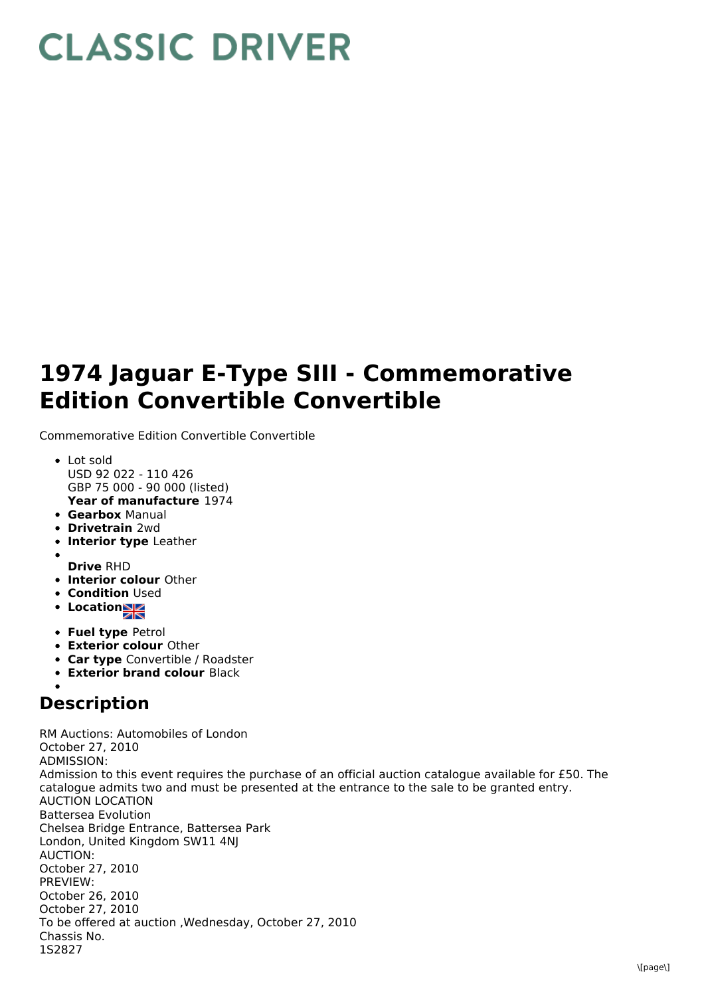## **CLASSIC DRIVER**

## **1974 Jaguar E-Type SIII - Commemorative Edition Convertible Convertible**

Commemorative Edition Convertible Convertible

- **Year of manufacture** 1974 Lot sold USD 92 022 - 110 426 GBP 75 000 - 90 000 (listed)
- **Gearbox** Manual
- **Drivetrain** 2wd
- **Interior type** Leather
- **Drive** RHD
- **Interior colour** Other
- **Condition Used**
- Location
- **Fuel type** Petrol
- **Exterior colour** Other
- **Car type** Convertible / Roadster
- **Exterior brand colour** Black

## **Description**

RM Auctions: Automobiles of London October 27, 2010 ADMISSION: Admission to this event requires the purchase of an official auction catalogue available for £50. The catalogue admits two and must be presented at the entrance to the sale to be granted entry. AUCTION LOCATION Battersea Evolution Chelsea Bridge Entrance, Battersea Park London, United Kingdom SW11 4NJ AUCTION: October 27, 2010 PREVIEW: October 26, 2010 October 27, 2010 To be offered at auction ,Wednesday, October 27, 2010 Chassis No. 1S2827